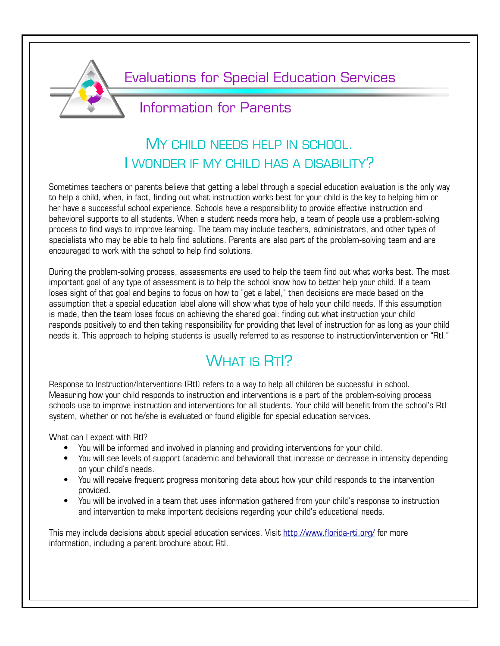

Evaluations for Special Education Services

## Information for Parents

## MY CHILD NEEDS HELP IN SCHOOL. I WONDER IF MY CHILD HAS A DISABILITY?

Sometimes teachers or parents believe that getting a label through a special education evaluation is the only way to help a child, when, in fact, finding out what instruction works best for your child is the key to helping him or her have a successful school experience. Schools have a responsibility to provide effective instruction and behavioral supports to all students. When a student needs more help, a team of people use a problem-solving process to find ways to improve learning. The team may include teachers, administrators, and other types of specialists who may be able to help find solutions. Parents are also part of the problem-solving team and are encouraged to work with the school to help find solutions.

During the problem-solving process, assessments are used to help the team find out what works best. The most important goal of any type of assessment is to help the school know how to better help your child. If a team loses sight of that goal and begins to focus on how to "get a label," then decisions are made based on the assumption that a special education label alone will show what type of help your child needs. If this assumption is made, then the team loses focus on achieving the shared goal: finding out what instruction your child responds positively to and then taking responsibility for providing that level of instruction for as long as your child needs it. This approach to helping students is usually referred to as response to instruction/intervention or "RtI."

# WHAT IS RTI?

Response to Instruction/Interventions (RtI) refers to a way to help all children be successful in school. Measuring how your child responds to instruction and interventions is a part of the problem-solving process schools use to improve instruction and interventions for all students. Your child will benefit from the school's RtI system, whether or not he/she is evaluated or found eligible for special education services.

What can I expect with RtI?

- You will be informed and involved in planning and providing interventions for your child.
- You will see levels of support (academic and behavioral) that increase or decrease in intensity depending on your child's needs.
- You will receive frequent progress monitoring data about how your child responds to the intervention provided.
- You will be involved in a team that uses information gathered from your child's response to instruction and intervention to make important decisions regarding your child's educational needs.

This may include decisions about special education services. Visit<http://www.florida-rti.org/>for more information, including a parent brochure about RtI.